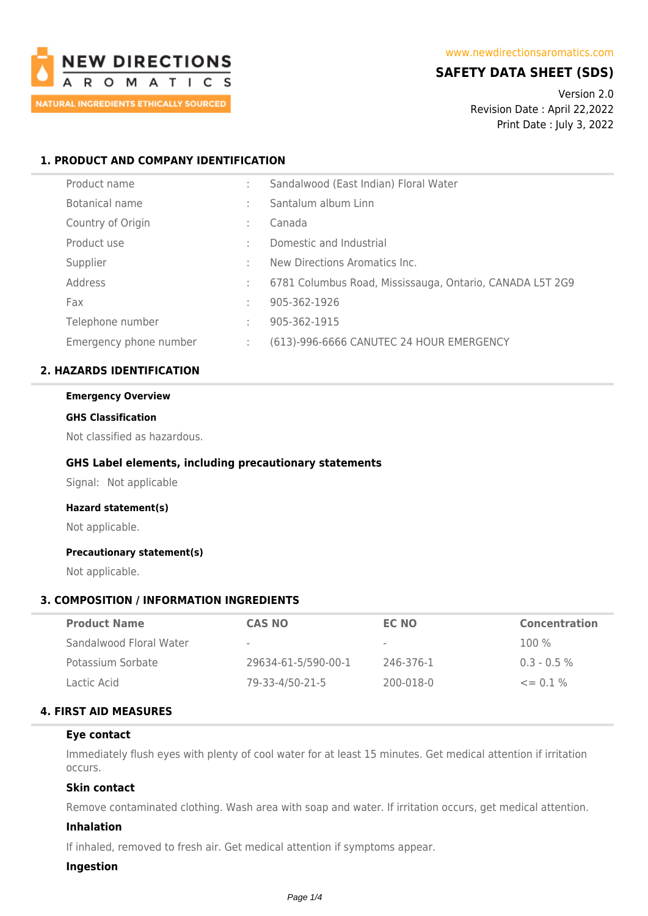

## **SAFETY DATA SHEET (SDS)**

Version 2.0 Revision Date : April 22,2022 Print Date : July 3, 2022

## **1. PRODUCT AND COMPANY IDENTIFICATION**

| Product name           |   | Sandalwood (East Indian) Floral Water                    |
|------------------------|---|----------------------------------------------------------|
| Botanical name         | ٠ | Santalum album Linn                                      |
| Country of Origin      |   | Canada                                                   |
| Product use            | ÷ | Domestic and Industrial                                  |
| Supplier               | ÷ | New Directions Aromatics Inc.                            |
| Address                | ÷ | 6781 Columbus Road, Mississauga, Ontario, CANADA L5T 2G9 |
| Fax                    | ÷ | 905-362-1926                                             |
| Telephone number       | ÷ | 905-362-1915                                             |
| Emergency phone number |   | (613)-996-6666 CANUTEC 24 HOUR EMERGENCY                 |

## **2. HAZARDS IDENTIFICATION**

#### **Emergency Overview**

### **GHS Classification**

Not classified as hazardous.

## **GHS Label elements, including precautionary statements**

Signal: Not applicable

## **Hazard statement(s)**

Not applicable.

#### **Precautionary statement(s)**

Not applicable.

## **3. COMPOSITION / INFORMATION INGREDIENTS**

| <b>Product Name</b>     | CAS NO              | EC NO                    | <b>Concentration</b> |
|-------------------------|---------------------|--------------------------|----------------------|
| Sandalwood Floral Water | $\sim$              | $\overline{\phantom{a}}$ | $100\%$              |
| Potassium Sorbate       | 29634-61-5/590-00-1 | 246-376-1                | $0.3 - 0.5 \%$       |
| Lactic Acid             | 79-33-4/50-21-5     | 200-018-0                | $\leq$ 0.1%          |

## **4. FIRST AID MEASURES**

### **Eye contact**

Immediately flush eyes with plenty of cool water for at least 15 minutes. Get medical attention if irritation occurs.

## **Skin contact**

Remove contaminated clothing. Wash area with soap and water. If irritation occurs, get medical attention.

## **Inhalation**

If inhaled, removed to fresh air. Get medical attention if symptoms appear.

### **Ingestion**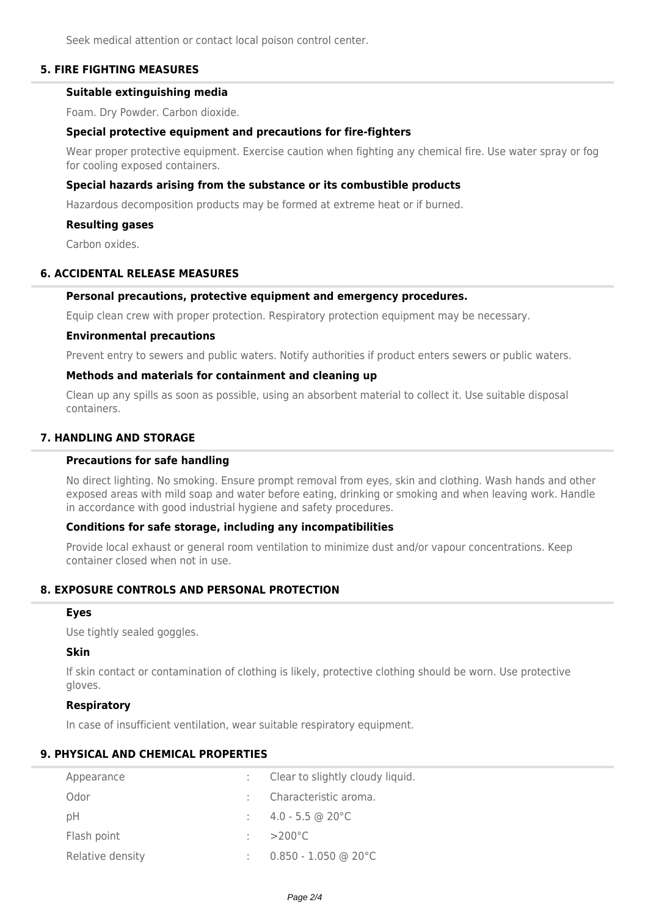Seek medical attention or contact local poison control center.

## **5. FIRE FIGHTING MEASURES**

## **Suitable extinguishing media**

Foam. Dry Powder. Carbon dioxide.

## **Special protective equipment and precautions for fire-fighters**

Wear proper protective equipment. Exercise caution when fighting any chemical fire. Use water spray or fog for cooling exposed containers.

## **Special hazards arising from the substance or its combustible products**

Hazardous decomposition products may be formed at extreme heat or if burned.

## **Resulting gases**

Carbon oxides.

## **6. ACCIDENTAL RELEASE MEASURES**

### **Personal precautions, protective equipment and emergency procedures.**

Equip clean crew with proper protection. Respiratory protection equipment may be necessary.

### **Environmental precautions**

Prevent entry to sewers and public waters. Notify authorities if product enters sewers or public waters.

## **Methods and materials for containment and cleaning up**

Clean up any spills as soon as possible, using an absorbent material to collect it. Use suitable disposal containers.

## **7. HANDLING AND STORAGE**

## **Precautions for safe handling**

No direct lighting. No smoking. Ensure prompt removal from eyes, skin and clothing. Wash hands and other exposed areas with mild soap and water before eating, drinking or smoking and when leaving work. Handle in accordance with good industrial hygiene and safety procedures.

## **Conditions for safe storage, including any incompatibilities**

Provide local exhaust or general room ventilation to minimize dust and/or vapour concentrations. Keep container closed when not in use.

# **8. EXPOSURE CONTROLS AND PERSONAL PROTECTION**

### **Eyes**

Use tightly sealed goggles.

## **Skin**

If skin contact or contamination of clothing is likely, protective clothing should be worn. Use protective gloves.

## **Respiratory**

In case of insufficient ventilation, wear suitable respiratory equipment.

## **9. PHYSICAL AND CHEMICAL PROPERTIES**

| Appearance       | Clear to slightly cloudy liquid. |
|------------------|----------------------------------|
| Odor             | Characteristic aroma.            |
| pH               | $\therefore$ 4.0 - 5.5 @ 20 °C   |
| Flash point      | $>200^{\circ}$ C                 |
| Relative density | $0.850 - 1.050$ @ 20°C           |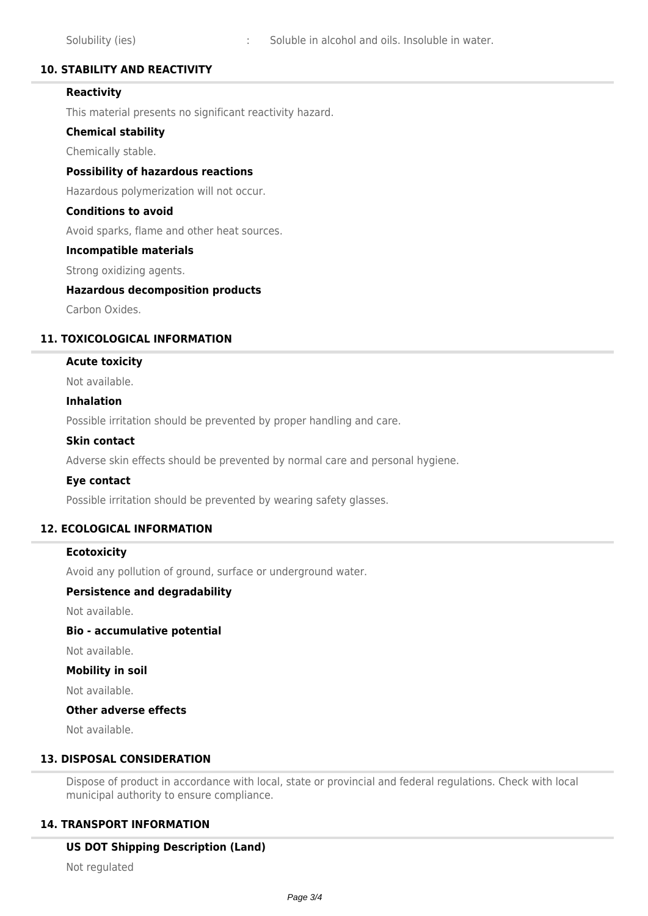## **10. STABILITY AND REACTIVITY**

## **Reactivity**

This material presents no significant reactivity hazard.

### **Chemical stability**

Chemically stable.

### **Possibility of hazardous reactions**

Hazardous polymerization will not occur.

### **Conditions to avoid**

Avoid sparks, flame and other heat sources.

#### **Incompatible materials**

Strong oxidizing agents.

### **Hazardous decomposition products**

Carbon Oxides.

## **11. TOXICOLOGICAL INFORMATION**

### **Acute toxicity**

Not available.

### **Inhalation**

Possible irritation should be prevented by proper handling and care.

#### **Skin contact**

Adverse skin effects should be prevented by normal care and personal hygiene.

#### **Eye contact**

Possible irritation should be prevented by wearing safety glasses.

## **12. ECOLOGICAL INFORMATION**

## **Ecotoxicity**

Avoid any pollution of ground, surface or underground water.

## **Persistence and degradability**

Not available.

### **Bio - accumulative potential**

Not available.

#### **Mobility in soil**

Not available.

## **Other adverse effects**

Not available.

## **13. DISPOSAL CONSIDERATION**

Dispose of product in accordance with local, state or provincial and federal regulations. Check with local municipal authority to ensure compliance.

## **14. TRANSPORT INFORMATION**

## **US DOT Shipping Description (Land)**

Not regulated